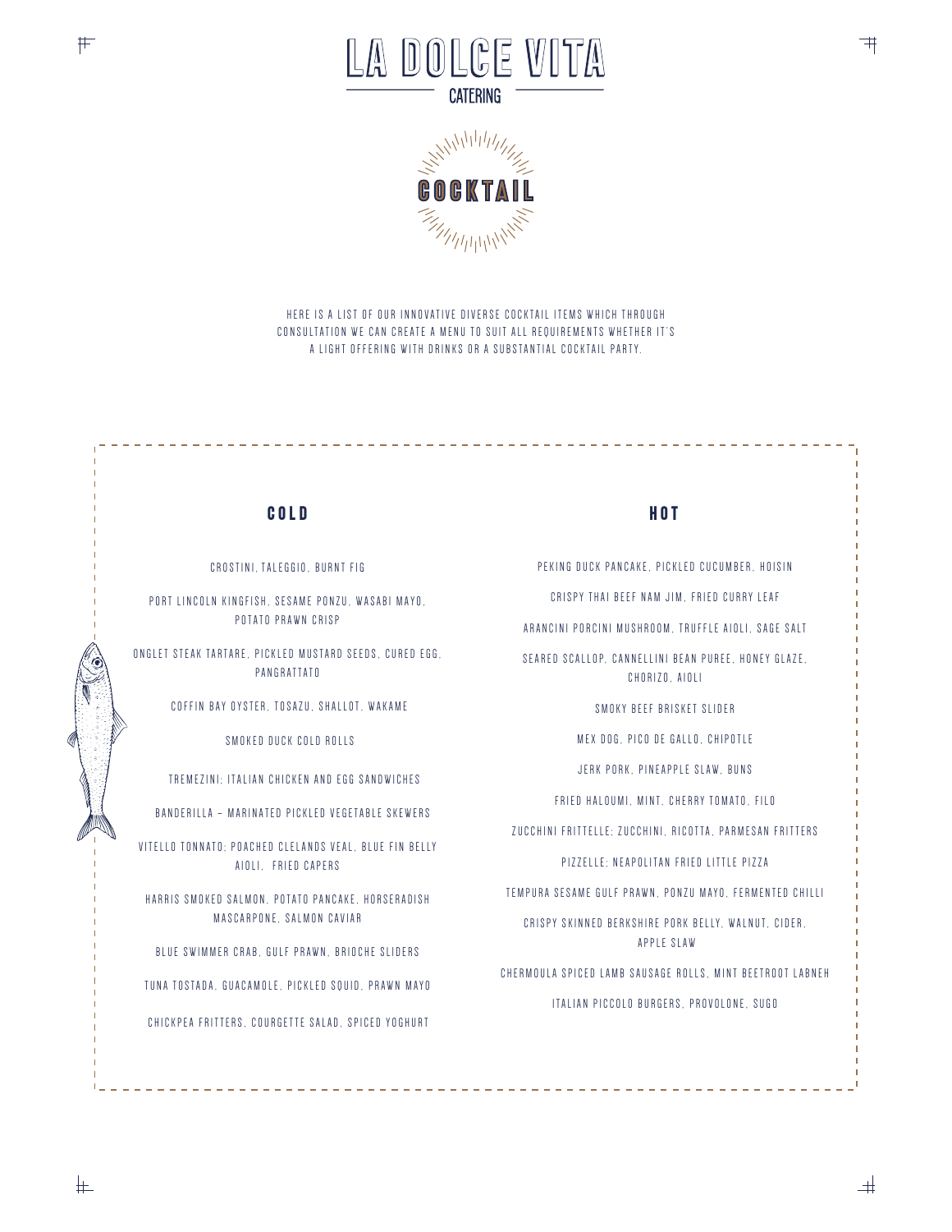



HERE IS A LIST OF OUR INNOVATIVE DIVERSE COCKTAIL ITEMS WHICH THROUGH CONSULTATION WE CAN CREATE A MENU TO SUIT ALL REQUIREMENTS WHETHER IT'S A LIGHT OFFERING WITH DRINKS OR A SUBSTANTIAL COCKTAIL PARTY.

## COLD

CROSTINI, TALEGGIO, BURNT FIG

PORT LINCOLN KINGFISH, SESAME PONZU, WASABI MAYO, POTATO PRAWN CRISP

ONGLET STEAK TARTARE. PICKLED MUSTARD SEEDS. CURED EGG. PANGRATTATO

COFFIN BAY OYSTER, TOSAZU, SHALLOT, WAKAME

SMOKED DUCK COLD ROLLS

TREMEZINI: ITALIAN CHICKEN AND EGG SANDWICHES

BANDERILLA - MARINATED PICKLED VEGETABLE SKEWERS

VITELLO TONNATO: POACHED CLELANDS VEAL, BLUE FIN BELLY AIOLI, FRIED CAPERS

HARRIS SMOKED SALMON, POTATO PANCAKE, HORSERADISH MASCARPONE, SALMON CAVIAR

BLUE SWIMMER CRAB, GULF PRAWN, BRIOCHE SLIDERS

TUNA TOSTADA, GUACAMOLE, PICKLED SQUID, PRAWN MAYO

CHICKPEA FRITTERS, COURGETTE SALAD, SPICED YOGHURT

## HOT<sub></sub>

PEKING DUCK PANCAKE, PICKLED CUCUMBER, HOISIN

CRISPY THAI BEEF NAM JIM. FRIED CURRY LEAF

ARANCINI PORCINI MUSHROOM. TRUFFLE AIOLI. SAGE SALT

SEARED SCALLOP, CANNELLINI BEAN PUREE, HONEY GLAZE, CHORIZO, AIOLI

SMOKY BEEF BRISKET SLIDER

MEX DOG. PICO DE GALLO, CHIPOTLE

JERK PORK, PINEAPPLE SLAW, BUNS

FRIED HALOUMI, MINT, CHERRY TOMATO, FILO

ZUCCHINI FRITTELLE: ZUCCHINI, RICOTTA, PARMESAN FRITTERS

PIZZELLE: NEAPOLITAN FRIED LITTLE PIZZA

TEMPURA SESAME GULF PRAWN, PONZU MAYO, FERMENTED CHILLI

CRISPY SKINNED BERKSHIRE PORK BELLY, WALNUT, CIDER, APPLE SLAW

CHERMOULA SPICED LAMB SAUSAGE ROLLS, MINT BEETROOT LABNEH ITALIAN PICCOLO BURGERS, PROVOLONE, SUGO

上